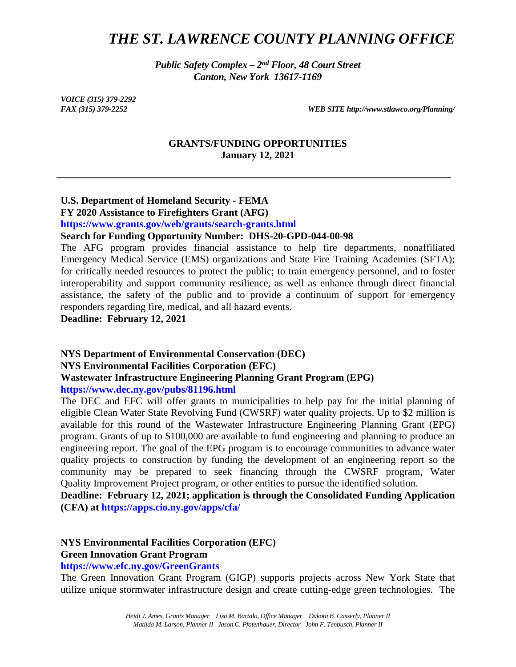# *THE ST. LAWRENCE COUNTY PLANNING OFFICE*

*Public Safety Complex – 2nd Floor, 48 Court Street Canton, New York 13617-1169*

*VOICE (315) 379-2292*

*FAX (315) 379-2252 WEB SITE http://www.stlawco.org/Planning/*

#### **GRANTS/FUNDING OPPORTUNITIES January 12, 2021**

## **U.S. Department of Homeland Security - FEMA**

**FY 2020 Assistance to Firefighters Grant (AFG)**

**https://www.grants.gov/web/grants/search-grants.html**

#### **Search for Funding Opportunity Number: DHS-20-GPD-044-00-98**

The AFG program provides financial assistance to help fire departments, nonaffiliated Emergency Medical Service (EMS) organizations and State Fire Training Academies (SFTA); for critically needed resources to protect the public; to train emergency personnel, and to foster interoperability and support community resilience, as well as enhance through direct financial assistance, the safety of the public and to provide a continuum of support for emergency responders regarding fire, medical, and all hazard events.

**Deadline: February 12, 2021**

#### **NYS Department of Environmental Conservation (DEC) NYS Environmental Facilities Corporation (EFC) Wastewater Infrastructure Engineering Planning Grant Program (EPG) https://www.dec.ny.gov/pubs/81196.html**

The DEC and EFC will offer grants to municipalities to help pay for the initial planning of eligible Clean Water State Revolving Fund (CWSRF) water quality projects. Up to \$2 million is available for this round of the Wastewater Infrastructure Engineering Planning Grant (EPG) program. Grants of up to \$100,000 are available to fund engineering and planning to produce an engineering report. The goal of the EPG program is to encourage communities to advance water quality projects to construction by funding the development of an engineering report so the community may be prepared to seek financing through the CWSRF program, Water Quality Improvement Project program, or other entities to pursue the identified solution.

**Deadline: February 12, 2021; application is through the Consolidated Funding Application (CFA) at https://apps.cio.ny.gov/apps/cfa/**

#### **NYS Environmental Facilities Corporation (EFC)**

#### **Green Innovation Grant Program**

**https://www.efc.ny.gov/GreenGrants**

The Green Innovation Grant Program (GIGP) supports projects across New York State that utilize unique stormwater infrastructure design and create cutting-edge green technologies. The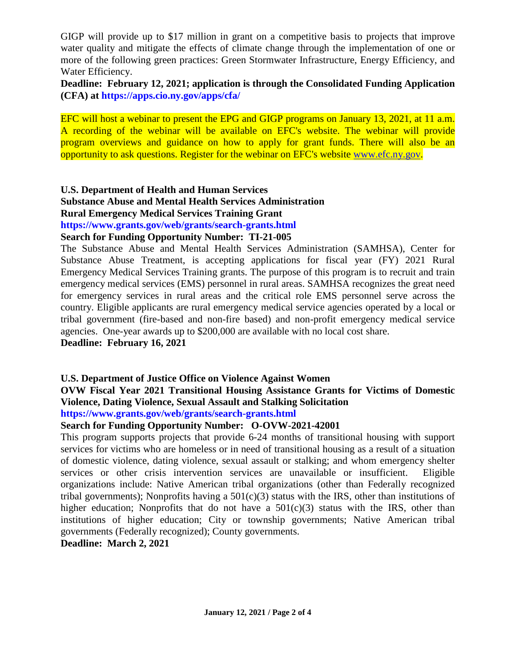GIGP will provide up to \$17 million in grant on a competitive basis to projects that improve water quality and mitigate the effects of climate change through the implementation of one or more of the following green practices: [Green Stormwater Infrastructure,](https://www.efc.ny.gov/GreenGrants#Green) [Energy Efficiency,](https://www.efc.ny.gov/GreenGrants#Energy) and [Water Efficiency.](https://www.efc.ny.gov/GreenGrants#Water)

**Deadline: February 12, 2021; application is through the Consolidated Funding Application (CFA) at https://apps.cio.ny.gov/apps/cfa/**

EFC will host a webinar to present the EPG and GIGP programs on January 13, 2021, at 11 a.m. A recording of the webinar will be available on EFC's website. The webinar will provide program overviews and guidance on how to apply for grant funds. There will also be an opportunity to ask questions. Register for the webinar on EFC's website [www.efc.ny.gov.](https://protect-us.mimecast.com/s/uSeRCkRVXvIWpzBu79P7D?domain=lnks.gd)

#### **U.S. Department of Health and Human Services Substance Abuse and Mental Health Services Administration Rural Emergency Medical Services Training Grant https://www.grants.gov/web/grants/search-grants.html**

#### **Search for Funding Opportunity Number: TI-21-005**

The Substance Abuse and Mental Health Services Administration (SAMHSA), Center for Substance Abuse Treatment, is accepting applications for fiscal year (FY) 2021 Rural Emergency Medical Services Training grants. The purpose of this program is to recruit and train emergency medical services (EMS) personnel in rural areas. SAMHSA recognizes the great need for emergency services in rural areas and the critical role EMS personnel serve across the country. Eligible applicants are rural emergency medical service agencies operated by a local or tribal government (fire-based and non-fire based) and non-profit emergency medical service agencies. One-year awards up to \$200,000 are available with no local cost share.

#### **Deadline: February 16, 2021**

### **U.S. Department of Justice Office on Violence Against Women**

# **OVW Fiscal Year 2021 Transitional Housing Assistance Grants for Victims of Domestic Violence, Dating Violence, Sexual Assault and Stalking Solicitation**

**https://www.grants.gov/web/grants/search-grants.html**

#### **Search for Funding Opportunity Number: O-OVW-2021-42001**

This program supports projects that provide 6-24 months of transitional housing with support services for victims who are homeless or in need of transitional housing as a result of a situation of domestic violence, dating violence, sexual assault or stalking; and whom emergency shelter services or other crisis intervention services are unavailable or insufficient. Eligible organizations include: Native American tribal organizations (other than Federally recognized tribal governments); Nonprofits having a  $501(c)(3)$  status with the IRS, other than institutions of higher education; Nonprofits that do not have a  $501(c)(3)$  status with the IRS, other than institutions of higher education; City or township governments; Native American tribal governments (Federally recognized); County governments.

**Deadline: March 2, 2021**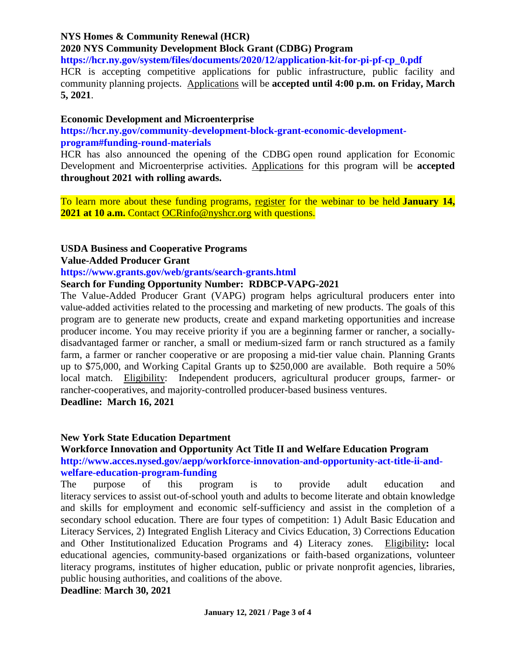### **NYS Homes & Community Renewal (HCR)**

**2020 NYS Community Development Block Grant (CDBG) Program**

**https://hcr.ny.gov/system/files/documents/2020/12/application-kit-for-pi-pf-cp\_0.pdf**

HCR is accepting competitive applications for public infrastructure, public facility and community planning projects. [Applications](https://protect-us.mimecast.com/s/P_d5C2kADZfjWD0h39BKT?domain=lnks.gd) will be **accepted until 4:00 p.m. on Friday, March 5, 2021**.

#### **Economic Development and Microenterprise**

**https://hcr.ny.gov/community-development-block-grant-economic-developmentprogram#funding-round-materials**

HCR has also announced the opening of the CDBG open round application for Economic Development and Microenterprise activities. [Applications](https://protect-us.mimecast.com/s/scerC310V8hBorWsn0y7G?domain=lnks.gd) for this program will be **accepted throughout 2021 with rolling awards.**

To learn more about these funding programs, [register](https://protect-us.mimecast.com/s/S0IkC4xDGZIoEwRTEnfQb?domain=lnks.gd) for the webinar to be held **January 14, 2021 at 10 a.m.** Contact [OCRinfo@nyshcr.org](mailto:OCRinfo@nyshcr.org) with questions.

#### **USDA Business and Cooperative Programs**

**Value-Added Producer Grant**

#### **https://www.grants.gov/web/grants/search-grants.html**

#### **Search for Funding Opportunity Number: RDBCP-VAPG-2021**

The Value-Added Producer Grant (VAPG) program helps agricultural producers enter into value-added activities related to the processing and marketing of new products. The goals of this program are to generate new products, create and expand marketing opportunities and increase producer income. You may receive priority if you are a beginning farmer or rancher, a sociallydisadvantaged farmer or rancher, a small or medium-sized farm or ranch structured as a family farm, a farmer or rancher cooperative or are proposing a mid-tier value chain. Planning Grants up to \$75,000, and Working Capital Grants up to \$250,000 are available. Both require a 50% local match. Eligibility: Independent producers, agricultural producer groups, farmer- or rancher-cooperatives, and majority-controlled producer-based business ventures.

**Deadline: March 16, 2021**

#### **New York State Education Department**

**Workforce Innovation and Opportunity Act Title II and Welfare Education Program http://www.acces.nysed.gov/aepp/workforce-innovation-and-opportunity-act-title-ii-andwelfare-education-program-funding**

The purpose of this program is to provide adult education and literacy services to assist out-of-school youth and adults to become literate and obtain knowledge and skills for employment and economic self-sufficiency and assist in the completion of a secondary school education. There are four types of competition: 1) Adult Basic Education and Literacy Services, 2) Integrated English Literacy and Civics Education, 3) Corrections Education and Other Institutionalized Education Programs and 4) Literacy zones. Eligibility**:** local educational agencies, community-based organizations or faith-based organizations, volunteer literacy programs, institutes of higher education, public or private nonprofit agencies, libraries, public housing authorities, and coalitions of the above.

**Deadline**: **March 30, 2021**